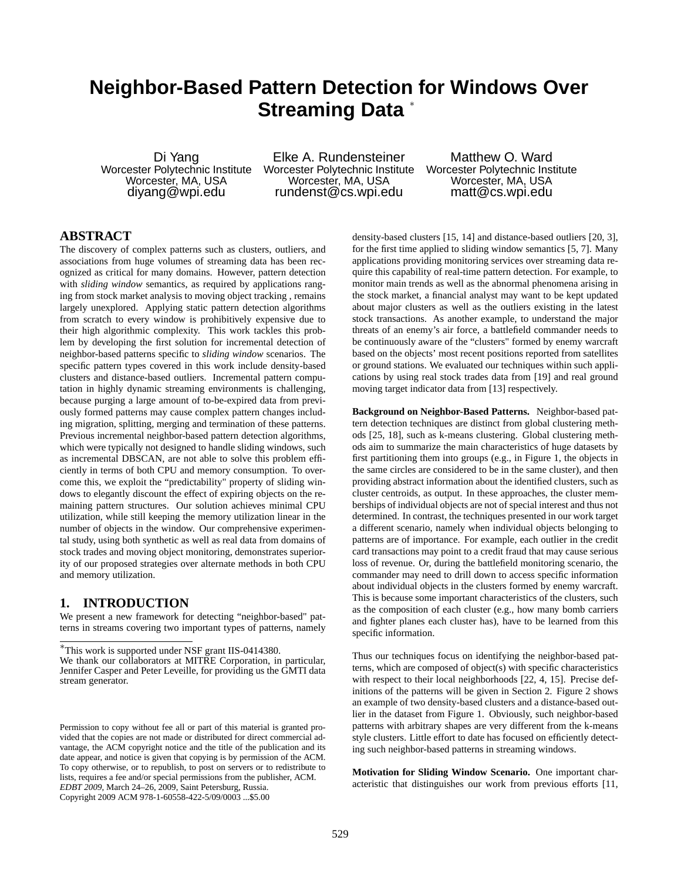# **Neighbor-Based Pattern Detection for Windows Over Streaming Data** <sup>∗</sup>

Di Yang Worcester Polytechnic Institute Worcester, MA, USA diyang@wpi.edu

Elke A. Rundensteiner Worcester Polytechnic Institute Worcester, MA, USA rundenst@cs.wpi.edu

Matthew O. Ward Worcester Polytechnic Institute Worcester, MA, USA matt@cs.wpi.edu

# **ABSTRACT**

The discovery of complex patterns such as clusters, outliers, and associations from huge volumes of streaming data has been recognized as critical for many domains. However, pattern detection with *sliding window* semantics, as required by applications ranging from stock market analysis to moving object tracking , remains largely unexplored. Applying static pattern detection algorithms from scratch to every window is prohibitively expensive due to their high algorithmic complexity. This work tackles this problem by developing the first solution for incremental detection of neighbor-based patterns specific to *sliding window* scenarios. The specific pattern types covered in this work include density-based clusters and distance-based outliers. Incremental pattern computation in highly dynamic streaming environments is challenging, because purging a large amount of to-be-expired data from previously formed patterns may cause complex pattern changes including migration, splitting, merging and termination of these patterns. Previous incremental neighbor-based pattern detection algorithms, which were typically not designed to handle sliding windows, such as incremental DBSCAN, are not able to solve this problem efficiently in terms of both CPU and memory consumption. To overcome this, we exploit the "predictability" property of sliding windows to elegantly discount the effect of expiring objects on the remaining pattern structures. Our solution achieves minimal CPU utilization, while still keeping the memory utilization linear in the number of objects in the window. Our comprehensive experimental study, using both synthetic as well as real data from domains of stock trades and moving object monitoring, demonstrates superiority of our proposed strategies over alternate methods in both CPU and memory utilization.

# **1. INTRODUCTION**

We present a new framework for detecting "neighbor-based" patterns in streams covering two important types of patterns, namely

Permission to copy without fee all or part of this material is granted provided that the copies are not made or distributed for direct commercial advantage, the ACM copyright notice and the title of the publication and its date appear, and notice is given that copying is by permission of the ACM. To copy otherwise, or to republish, to post on servers or to redistribute to lists, requires a fee and/or special permissions from the publisher, ACM. *EDBT 2009*, March 24–26, 2009, Saint Petersburg, Russia. Copyright 2009 ACM 978-1-60558-422-5/09/0003 ...\$5.00

density-based clusters [15, 14] and distance-based outliers [20, 3], for the first time applied to sliding window semantics [5, 7]. Many applications providing monitoring services over streaming data require this capability of real-time pattern detection. For example, to monitor main trends as well as the abnormal phenomena arising in the stock market, a financial analyst may want to be kept updated about major clusters as well as the outliers existing in the latest stock transactions. As another example, to understand the major threats of an enemy's air force, a battlefield commander needs to be continuously aware of the "clusters" formed by enemy warcraft based on the objects' most recent positions reported from satellites or ground stations. We evaluated our techniques within such applications by using real stock trades data from [19] and real ground moving target indicator data from [13] respectively.

**Background on Neighbor-Based Patterns.** Neighbor-based pattern detection techniques are distinct from global clustering methods [25, 18], such as k-means clustering. Global clustering methods aim to summarize the main characteristics of huge datasets by first partitioning them into groups (e.g., in Figure 1, the objects in the same circles are considered to be in the same cluster), and then providing abstract information about the identified clusters, such as cluster centroids, as output. In these approaches, the cluster memberships of individual objects are not of special interest and thus not determined. In contrast, the techniques presented in our work target a different scenario, namely when individual objects belonging to patterns are of importance. For example, each outlier in the credit card transactions may point to a credit fraud that may cause serious loss of revenue. Or, during the battlefield monitoring scenario, the commander may need to drill down to access specific information about individual objects in the clusters formed by enemy warcraft. This is because some important characteristics of the clusters, such as the composition of each cluster (e.g., how many bomb carriers and fighter planes each cluster has), have to be learned from this specific information.

Thus our techniques focus on identifying the neighbor-based patterns, which are composed of object(s) with specific characteristics with respect to their local neighborhoods [22, 4, 15]. Precise definitions of the patterns will be given in Section 2. Figure 2 shows an example of two density-based clusters and a distance-based outlier in the dataset from Figure 1. Obviously, such neighbor-based patterns with arbitrary shapes are very different from the k-means style clusters. Little effort to date has focused on efficiently detecting such neighbor-based patterns in streaming windows.

**Motivation for Sliding Window Scenario.** One important characteristic that distinguishes our work from previous efforts [11,

<sup>∗</sup>This work is supported under NSF grant IIS-0414380. We thank our collaborators at MITRE Corporation, in particular, Jennifer Casper and Peter Leveille, for providing us the GMTI data stream generator.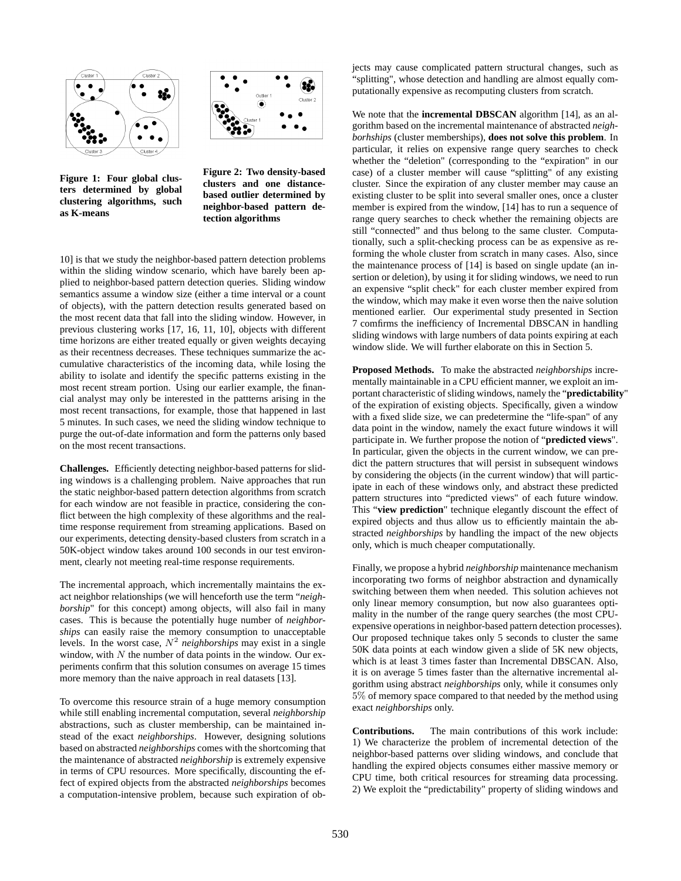



**Figure 1: Four global clusters determined by global clustering algorithms, such as K-means**

**Figure 2: Two density-based clusters and one distancebased outlier determined by neighbor-based pattern detection algorithms**

10] is that we study the neighbor-based pattern detection problems within the sliding window scenario, which have barely been applied to neighbor-based pattern detection queries. Sliding window semantics assume a window size (either a time interval or a count of objects), with the pattern detection results generated based on the most recent data that fall into the sliding window. However, in previous clustering works [17, 16, 11, 10], objects with different time horizons are either treated equally or given weights decaying as their recentness decreases. These techniques summarize the accumulative characteristics of the incoming data, while losing the ability to isolate and identify the specific patterns existing in the most recent stream portion. Using our earlier example, the financial analyst may only be interested in the pattterns arising in the most recent transactions, for example, those that happened in last 5 minutes. In such cases, we need the sliding window technique to purge the out-of-date information and form the patterns only based on the most recent transactions.

**Challenges.** Efficiently detecting neighbor-based patterns for sliding windows is a challenging problem. Naive approaches that run the static neighbor-based pattern detection algorithms from scratch for each window are not feasible in practice, considering the conflict between the high complexity of these algorithms and the realtime response requirement from streaming applications. Based on our experiments, detecting density-based clusters from scratch in a 50K-object window takes around 100 seconds in our test environment, clearly not meeting real-time response requirements.

The incremental approach, which incrementally maintains the exact neighbor relationships (we will henceforth use the term "*neighborship*" for this concept) among objects, will also fail in many cases. This is because the potentially huge number of *neighborships* can easily raise the memory consumption to unacceptable levels. In the worst case,  $N^2$  *neighborships* may exist in a single window, with  $N$  the number of data points in the window. Our experiments confirm that this solution consumes on average 15 times more memory than the naive approach in real datasets [13].

To overcome this resource strain of a huge memory consumption while still enabling incremental computation, several *neighborship* abstractions, such as cluster membership, can be maintained instead of the exact *neighborships*. However, designing solutions based on abstracted *neighborships* comes with the shortcoming that the maintenance of abstracted *neighborship* is extremely expensive in terms of CPU resources. More specifically, discounting the effect of expired objects from the abstracted *neighborships* becomes a computation-intensive problem, because such expiration of objects may cause complicated pattern structural changes, such as "splitting", whose detection and handling are almost equally computationally expensive as recomputing clusters from scratch.

We note that the **incremental DBSCAN** algorithm [14], as an algorithm based on the incremental maintenance of abstracted *neighborhships* (cluster memberships), **does not solve this problem**. In particular, it relies on expensive range query searches to check whether the "deletion" (corresponding to the "expiration" in our case) of a cluster member will cause "splitting" of any existing cluster. Since the expiration of any cluster member may cause an existing cluster to be split into several smaller ones, once a cluster member is expired from the window, [14] has to run a sequence of range query searches to check whether the remaining objects are still "connected" and thus belong to the same cluster. Computationally, such a split-checking process can be as expensive as reforming the whole cluster from scratch in many cases. Also, since the maintenance process of [14] is based on single update (an insertion or deletion), by using it for sliding windows, we need to run an expensive "split check" for each cluster member expired from the window, which may make it even worse then the naive solution mentioned earlier. Our experimental study presented in Section 7 comfirms the inefficiency of Incremental DBSCAN in handling sliding windows with large numbers of data points expiring at each window slide. We will further elaborate on this in Section 5.

**Proposed Methods.** To make the abstracted *neighborships* incrementally maintainable in a CPU efficient manner, we exploit an important characteristic of sliding windows, namely the "**predictability**" of the expiration of existing objects. Specifically, given a window with a fixed slide size, we can predetermine the "life-span" of any data point in the window, namely the exact future windows it will participate in. We further propose the notion of "**predicted views**". In particular, given the objects in the current window, we can predict the pattern structures that will persist in subsequent windows by considering the objects (in the current window) that will participate in each of these windows only, and abstract these predicted pattern structures into "predicted views" of each future window. This "**view prediction**" technique elegantly discount the effect of expired objects and thus allow us to efficiently maintain the abstracted *neighborships* by handling the impact of the new objects only, which is much cheaper computationally.

Finally, we propose a hybrid *neighborship* maintenance mechanism incorporating two forms of neighbor abstraction and dynamically switching between them when needed. This solution achieves not only linear memory consumption, but now also guarantees optimality in the number of the range query searches (the most CPUexpensive operations in neighbor-based pattern detection processes). Our proposed technique takes only 5 seconds to cluster the same 50K data points at each window given a slide of 5K new objects, which is at least 3 times faster than Incremental DBSCAN. Also, it is on average 5 times faster than the alternative incremental algorithm using abstract *neighborships* only, while it consumes only 5% of memory space compared to that needed by the method using exact *neighborships* only.

**Contributions.** The main contributions of this work include: 1) We characterize the problem of incremental detection of the neighbor-based patterns over sliding windows, and conclude that handling the expired objects consumes either massive memory or CPU time, both critical resources for streaming data processing. 2) We exploit the "predictability" property of sliding windows and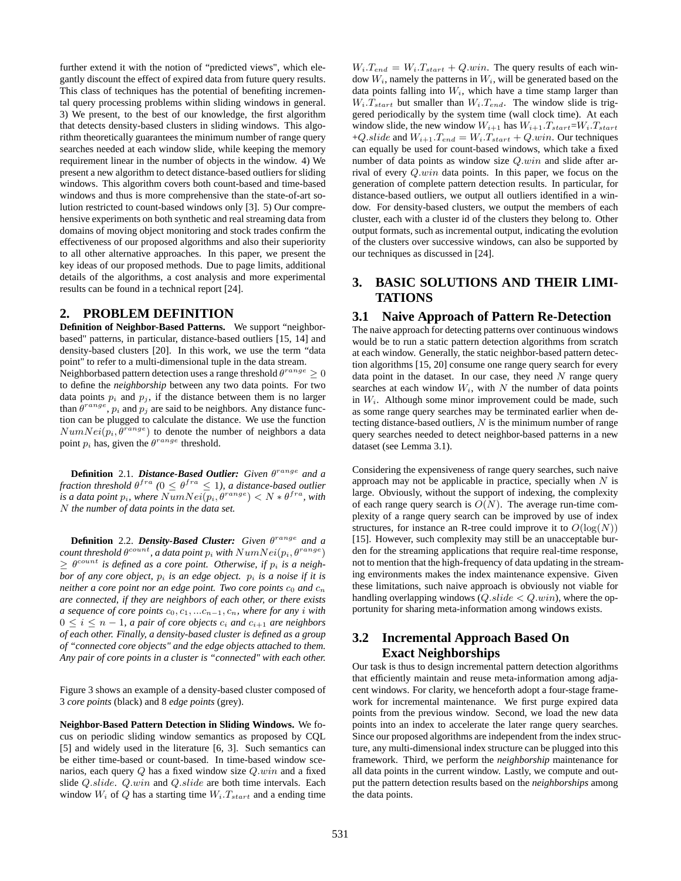further extend it with the notion of "predicted views", which elegantly discount the effect of expired data from future query results. This class of techniques has the potential of benefiting incremental query processing problems within sliding windows in general. 3) We present, to the best of our knowledge, the first algorithm that detects density-based clusters in sliding windows. This algorithm theoretically guarantees the minimum number of range query searches needed at each window slide, while keeping the memory requirement linear in the number of objects in the window. 4) We present a new algorithm to detect distance-based outliers for sliding windows. This algorithm covers both count-based and time-based windows and thus is more comprehensive than the state-of-art solution restricted to count-based windows only [3]. 5) Our comprehensive experiments on both synthetic and real streaming data from domains of moving object monitoring and stock trades confirm the effectiveness of our proposed algorithms and also their superiority to all other alternative approaches. In this paper, we present the key ideas of our proposed methods. Due to page limits, additional details of the algorithms, a cost analysis and more experimental results can be found in a technical report [24].

### **2. PROBLEM DEFINITION**

**Definition of Neighbor-Based Patterns.** We support "neighborbased" patterns, in particular, distance-based outliers [15, 14] and density-based clusters [20]. In this work, we use the term "data point" to refer to a multi-dimensional tuple in the data stream. Neighborbased pattern detection uses a range threshold  $\theta^{range} \geq 0$ to define the *neighborship* between any two data points. For two data points  $p_i$  and  $p_j$ , if the distance between them is no larger than  $\theta^{range}$ ,  $p_i$  and  $p_j$  are said to be neighbors. Any distance function can be plugged to calculate the distance. We use the function  $NumNei(p_i, \theta^{range})$  to denote the number of neighbors a data point  $p_i$  has, given the  $\theta^{range}$  threshold.

**Definition** 2.1. *Distance-Based Outlier: Given* θ range *and a fraction threshold*  $\theta^{fra}$  ( $0 \leq \theta^{fra} \leq 1$ ), a distance-based outlier is a data point  $p_i$ , where  $NumNei(p_i, \theta^{range}) < N * \theta^{fra}$ , with N *the number of data points in the data set.*

**Definition** 2.2. *Density-Based Cluster: Given* θ range *and a*  $\mathit{count}$  threshold  $\theta^{count}$ , a data point  $p_i$  with  $NumNei(p_i, \theta^{range})$  $\geq \theta^{count}$  *is defined as a core point. Otherwise, if*  $p_i$  *is a neighbor of any core object,*  $p_i$  *is an edge object.*  $p_i$  *is a noise if it is neither a core point nor an edge point. Two core points*  $c_0$  *and*  $c_n$ *are connected, if they are neighbors of each other, or there exists a sequence of core points*  $c_0, c_1, ... c_{n-1}, c_n$ , where for any *i* with  $0 \leq i \leq n-1$ , a pair of core objects  $c_i$  and  $c_{i+1}$  are neighbors *of each other. Finally, a density-based cluster is defined as a group of "connected core objects" and the edge objects attached to them. Any pair of core points in a cluster is "connected" with each other.*

Figure 3 shows an example of a density-based cluster composed of 3 *core points* (black) and 8 *edge points* (grey).

**Neighbor-Based Pattern Detection in Sliding Windows.** We focus on periodic sliding window semantics as proposed by CQL [5] and widely used in the literature [6, 3]. Such semantics can be either time-based or count-based. In time-based window scenarios, each query  $Q$  has a fixed window size  $Q.win$  and a fixed slide Q.slide. Q.win and Q.slide are both time intervals. Each window  $W_i$  of  $Q$  has a starting time  $W_i$ .  $T_{start}$  and a ending time

 $W_i.T_{end} = W_i.T_{start} + Q.win$ . The query results of each window  $W_i$ , namely the patterns in  $W_i$ , will be generated based on the data points falling into  $W_i$ , which have a time stamp larger than  $W_i.T_{start}$  but smaller than  $W_i.T_{end}$ . The window slide is triggered periodically by the system time (wall clock time). At each window slide, the new window  $W_{i+1}$  has  $W_{i+1}$ .  $T_{start} = W_i$ .  $T_{start}$ +Q.slide and  $W_{i+1}$ .  $T_{end} = W_i$ .  $T_{start} + Q$ . win. Our techniques can equally be used for count-based windows, which take a fixed number of data points as window size Q.win and slide after arrival of every Q.win data points. In this paper, we focus on the generation of complete pattern detection results. In particular, for distance-based outliers, we output all outliers identified in a window. For density-based clusters, we output the members of each cluster, each with a cluster id of the clusters they belong to. Other output formats, such as incremental output, indicating the evolution of the clusters over successive windows, can also be supported by our techniques as discussed in [24].

# **3. BASIC SOLUTIONS AND THEIR LIMI-TATIONS**

### **3.1 Naive Approach of Pattern Re-Detection**

The naive approach for detecting patterns over continuous windows would be to run a static pattern detection algorithms from scratch at each window. Generally, the static neighbor-based pattern detection algorithms [15, 20] consume one range query search for every data point in the dataset. In our case, they need  $N$  range query searches at each window  $W_i$ , with N the number of data points in  $W_i$ . Although some minor improvement could be made, such as some range query searches may be terminated earlier when detecting distance-based outliers,  $N$  is the minimum number of range query searches needed to detect neighbor-based patterns in a new dataset (see Lemma 3.1).

Considering the expensiveness of range query searches, such naive approach may not be applicable in practice, specially when  $N$  is large. Obviously, without the support of indexing, the complexity of each range query search is  $O(N)$ . The average run-time complexity of a range query search can be improved by use of index structures, for instance an R-tree could improve it to  $O(\log(N))$ [15]. However, such complexity may still be an unacceptable burden for the streaming applications that require real-time response, not to mention that the high-frequency of data updating in the streaming environments makes the index maintenance expensive. Given these limitations, such naive approach is obviously not viable for handling overlapping windows  $(Q.slide < Q.win)$ , where the opportunity for sharing meta-information among windows exists.

# **3.2 Incremental Approach Based On Exact Neighborships**

Our task is thus to design incremental pattern detection algorithms that efficiently maintain and reuse meta-information among adjacent windows. For clarity, we henceforth adopt a four-stage framework for incremental maintenance. We first purge expired data points from the previous window. Second, we load the new data points into an index to accelerate the later range query searches. Since our proposed algorithms are independent from the index structure, any multi-dimensional index structure can be plugged into this framework. Third, we perform the *neighborship* maintenance for all data points in the current window. Lastly, we compute and output the pattern detection results based on the *neighborships* among the data points.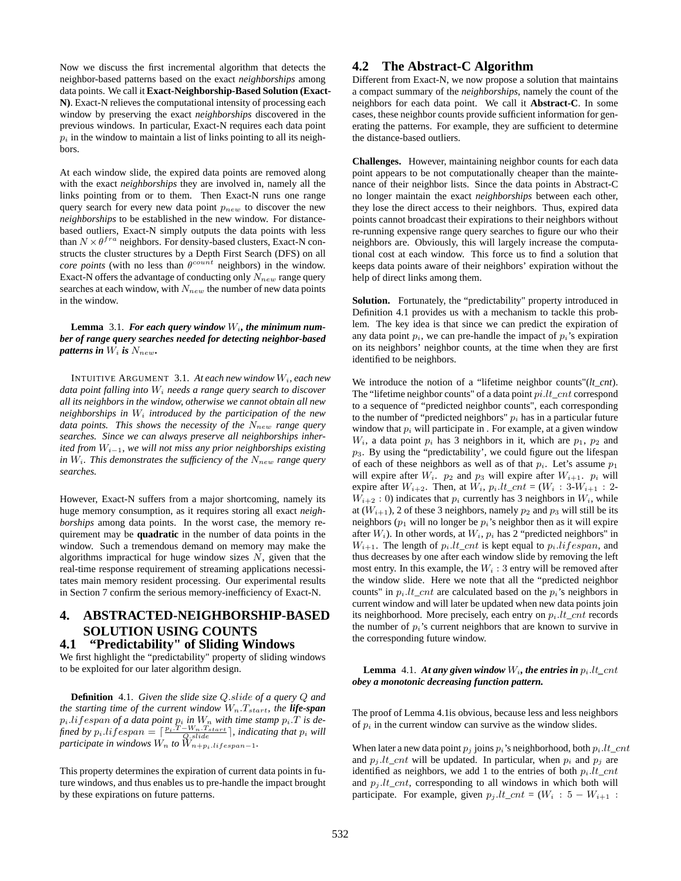Now we discuss the first incremental algorithm that detects the neighbor-based patterns based on the exact *neighborships* among data points. We call it **Exact-Neighborship-Based Solution (Exact-N)**. Exact-N relieves the computational intensity of processing each window by preserving the exact *neighborships* discovered in the previous windows. In particular, Exact-N requires each data point  $p_i$  in the window to maintain a list of links pointing to all its neighbors.

At each window slide, the expired data points are removed along with the exact *neighborships* they are involved in, namely all the links pointing from or to them. Then Exact-N runs one range query search for every new data point  $p_{new}$  to discover the new *neighborships* to be established in the new window. For distancebased outliers, Exact-N simply outputs the data points with less than  $N \times \theta^{fra}$  neighbors. For density-based clusters, Exact-N constructs the cluster structures by a Depth First Search (DFS) on all *core points* (with no less than  $\theta^{count}$  neighbors) in the window. Exact-N offers the advantage of conducting only  $N_{new}$  range query searches at each window, with  $N_{new}$  the number of new data points in the window.

### **Lemma** 3.1. *For each query window* Wi*, the minimum number of range query searches needed for detecting neighbor-based patterns in*  $W_i$  *is*  $N_{new}$ .

INTUITIVE ARGUMENT 3.1. *At each new window* Wi*, each new data point falling into* W<sup>i</sup> *needs a range query search to discover all its neighbors in the window, otherwise we cannot obtain all new neighborships in* W<sup>i</sup> *introduced by the participation of the new data points. This shows the necessity of the*  $N_{new}$  *range query searches. Since we can always preserve all neighborships inherited from*  $W_{i-1}$ *, we will not miss any prior neighborships existing in*  $W_i$ *. This demonstrates the sufficiency of the*  $N_{new}$  *range query searches.*

However, Exact-N suffers from a major shortcoming, namely its huge memory consumption, as it requires storing all exact *neighborships* among data points. In the worst case, the memory requirement may be **quadratic** in the number of data points in the window. Such a tremendous demand on memory may make the algorithms impractical for huge window sizes  $N$ , given that the real-time response requirement of streaming applications necessitates main memory resident processing. Our experimental results in Section 7 confirm the serious memory-inefficiency of Exact-N.

# **4. ABSTRACTED-NEIGHBORSHIP-BASED SOLUTION USING COUNTS 4.1 "Predictability" of Sliding Windows**

We first highlight the "predictability" property of sliding windows to be exploited for our later algorithm design.

**Definition** 4.1. *Given the slide size* Q.slide *of a query* Q *and the starting time of the current window*  $W_n.T_{start}$ *, the life-span*  $p_i.lifespan$  *of a data point*  $p_i$  *in*  $W_n$  *with time stamp*  $p_i.T$  *is de* $f_{\text{mod}}$  by  $p_i$ ,  $l$ i $\overline{f}$ espan  $= \lceil \frac{p_i \cdot T - W_n \cdot T_{start}}{Q} \rceil$ , *indicating that*  $p_i$  *will participate in windows*  $W_n$  *to*  $W_{n+p_i.lifespan-1}$ *.* 

This property determines the expiration of current data points in future windows, and thus enables us to pre-handle the impact brought by these expirations on future patterns.

# **4.2 The Abstract-C Algorithm**

Different from Exact-N, we now propose a solution that maintains a compact summary of the *neighborships*, namely the count of the neighbors for each data point. We call it **Abstract-C**. In some cases, these neighbor counts provide sufficient information for generating the patterns. For example, they are sufficient to determine the distance-based outliers.

**Challenges.** However, maintaining neighbor counts for each data point appears to be not computationally cheaper than the maintenance of their neighbor lists. Since the data points in Abstract-C no longer maintain the exact *neighborships* between each other, they lose the direct access to their neighbors. Thus, expired data points cannot broadcast their expirations to their neighbors without re-running expensive range query searches to figure our who their neighbors are. Obviously, this will largely increase the computational cost at each window. This force us to find a solution that keeps data points aware of their neighbors' expiration without the help of direct links among them.

**Solution.** Fortunately, the "predictability" property introduced in Definition 4.1 provides us with a mechanism to tackle this problem. The key idea is that since we can predict the expiration of any data point  $p_i$ , we can pre-handle the impact of  $p_i$ 's expiration on its neighbors' neighbor counts, at the time when they are first identified to be neighbors.

We introduce the notion of a "lifetime neighbor counts"(*lt cnt*). The "lifetime neighbor counts" of a data point  $pi.lt$  cnt correspond to a sequence of "predicted neighbor counts", each corresponding to the number of "predicted neighbors"  $p_i$  has in a particular future window that  $p_i$  will participate in . For example, at a given window  $W_i$ , a data point  $p_i$  has 3 neighbors in it, which are  $p_1$ ,  $p_2$  and  $p_3$ . By using the "predictability', we could figure out the lifespan of each of these neighbors as well as of that  $p_i$ . Let's assume  $p_1$ will expire after  $W_i$ .  $p_2$  and  $p_3$  will expire after  $W_{i+1}$ .  $p_i$  will expire after  $W_{i+2}$ . Then, at  $W_i$ ,  $p_i.lt\_{cnt} = (W_i : 3-W_{i+1} : 2$ - $W_{i+2}$ : 0) indicates that  $p_i$  currently has 3 neighbors in  $W_i$ , while at  $(W_{i+1})$ , 2 of these 3 neighbors, namely  $p_2$  and  $p_3$  will still be its neighbors ( $p_1$  will no longer be  $p_i$ 's neighbor then as it will expire after  $W_i$ ). In other words, at  $W_i$ ,  $p_i$  has 2 "predicted neighbors" in  $W_{i+1}$ . The length of  $p_i.lt\_cnt$  is kept equal to  $p_i.lifespan$ , and thus decreases by one after each window slide by removing the left most entry. In this example, the  $W_i$ : 3 entry will be removed after the window slide. Here we note that all the "predicted neighbor counts" in  $p_i.lt\_cnt$  are calculated based on the  $p_i$ 's neighbors in current window and will later be updated when new data points join its neighborhood. More precisely, each entry on  $p_i.lt\_cnt$  records the number of  $p_i$ 's current neighbors that are known to survive in the corresponding future window.

**Lemma** 4.1. At any given window  $W_i$ , the entries in  $p_i$ . It cnt *obey a monotonic decreasing function pattern.*

The proof of Lemma 4.1is obvious, because less and less neighbors of  $p_i$  in the current window can survive as the window slides.

When later a new data point  $p_i$  joins  $p_i$ 's neighborhood, both  $p_i.lt\_cnt$ and  $p_i.lt_cnt$  will be updated. In particular, when  $p_i$  and  $p_j$  are identified as neighbors, we add 1 to the entries of both  $p_i.lt\_cnt$ and  $p_j.lt\_cnt$ , corresponding to all windows in which both will participate. For example, given  $p_j$  .lt\_cnt = ( $W_i$  : 5 –  $W_{i+1}$  :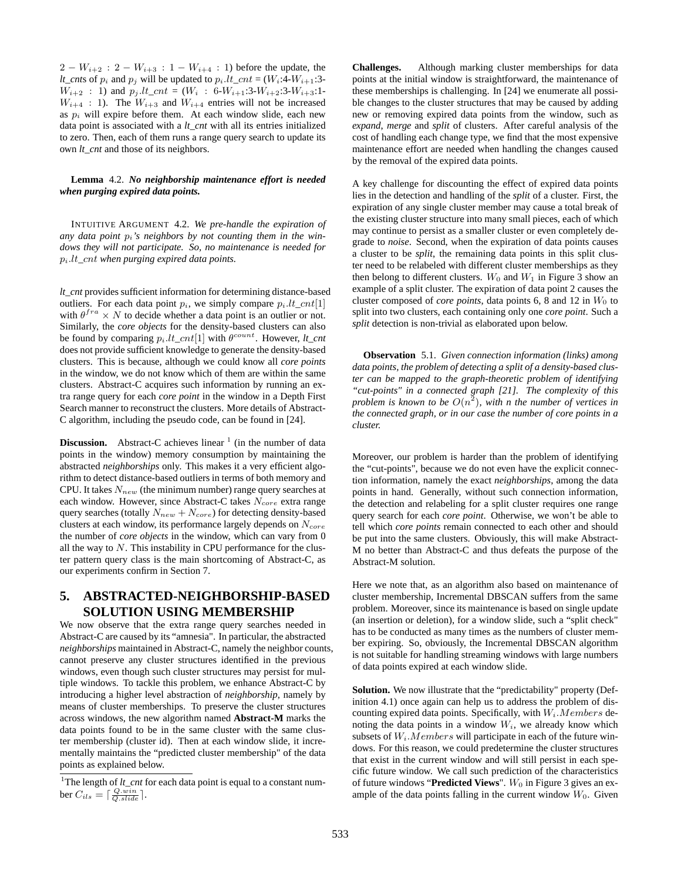$2 - W_{i+2}$ :  $2 - W_{i+3}$ :  $1 - W_{i+4}$ : 1) before the update, the *lt\_cnt*s of  $p_i$  and  $p_j$  will be updated to  $p_i.l.t$ <sub>*cnt*</sub> = (W<sub>i</sub>:4-W<sub>i+1</sub>:3- $W_{i+2}$  : 1) and  $p_j.lt\_{cnt} = (W_i : 6-W_{i+1}:3-W_{i+2}:3-W_{i+3}:1-)$  $W_{i+4}$  : 1). The  $W_{i+3}$  and  $W_{i+4}$  entries will not be increased as  $p_i$  will expire before them. At each window slide, each new data point is associated with a *lt\_cnt* with all its entries initialized to zero. Then, each of them runs a range query search to update its own *lt\_cnt* and those of its neighbors.

### **Lemma** 4.2. *No neighborship maintenance effort is needed when purging expired data points.*

INTUITIVE ARGUMENT 4.2. *We pre-handle the expiration of* any data point  $p_i$ 's neighbors by not counting them in the win*dows they will not participate. So, no maintenance is needed for* pi.lt*\_*cnt *when purging expired data points.*

*lt\_cnt* provides sufficient information for determining distance-based outliers. For each data point  $p_i$ , we simply compare  $p_i.lt\_cnt[1]$ with  $\theta^{fra} \times N$  to decide whether a data point is an outlier or not. Similarly, the *core objects* for the density-based clusters can also be found by comparing  $p_i.lt\_cnt[1]$  with  $\theta^{count}$ . However,  $lt\_cnt$ does not provide sufficient knowledge to generate the density-based clusters. This is because, although we could know all *core points* in the window, we do not know which of them are within the same clusters. Abstract-C acquires such information by running an extra range query for each *core point* in the window in a Depth First Search manner to reconstruct the clusters. More details of Abstract-C algorithm, including the pseudo code, can be found in [24].

**Discussion.** Abstract-C achieves linear  $\frac{1}{1}$  (in the number of data points in the window) memory consumption by maintaining the abstracted *neighborships* only. This makes it a very efficient algorithm to detect distance-based outliers in terms of both memory and CPU. It takes  $N_{new}$  (the minimum number) range query searches at each window. However, since Abstract-C takes  $N_{core}$  extra range query searches (totally  $N_{new} + N_{core}$ ) for detecting density-based clusters at each window, its performance largely depends on  $N_{core}$ the number of *core objects* in the window, which can vary from 0 all the way to  $N$ . This instability in CPU performance for the cluster pattern query class is the main shortcoming of Abstract-C, as our experiments confirm in Section 7.

# **5. ABSTRACTED-NEIGHBORSHIP-BASED SOLUTION USING MEMBERSHIP**

We now observe that the extra range query searches needed in Abstract-C are caused by its "amnesia". In particular, the abstracted *neighborships* maintained in Abstract-C, namely the neighbor counts, cannot preserve any cluster structures identified in the previous windows, even though such cluster structures may persist for multiple windows. To tackle this problem, we enhance Abstract-C by introducing a higher level abstraction of *neighborship*, namely by means of cluster memberships. To preserve the cluster structures across windows, the new algorithm named **Abstract-M** marks the data points found to be in the same cluster with the same cluster membership (cluster id). Then at each window slide, it incrementally maintains the "predicted cluster membership" of the data points as explained below.

**Challenges.** Although marking cluster memberships for data points at the initial window is straightforward, the maintenance of these memberships is challenging. In [24] we enumerate all possible changes to the cluster structures that may be caused by adding new or removing expired data points from the window, such as *expand*, *merge* and *split* of clusters. After careful analysis of the cost of handling each change type, we find that the most expensive maintenance effort are needed when handling the changes caused by the removal of the expired data points.

A key challenge for discounting the effect of expired data points lies in the detection and handling of the *split* of a cluster. First, the expiration of any single cluster member may cause a total break of the existing cluster structure into many small pieces, each of which may continue to persist as a smaller cluster or even completely degrade to *noise*. Second, when the expiration of data points causes a cluster to be *split*, the remaining data points in this split cluster need to be relabeled with different cluster memberships as they then belong to different clusters.  $W_0$  and  $W_1$  in Figure 3 show an example of a split cluster. The expiration of data point 2 causes the cluster composed of *core points*, data points  $6, 8$  and  $12$  in  $W<sub>0</sub>$  to split into two clusters, each containing only one *core point*. Such a *split* detection is non-trivial as elaborated upon below.

**Observation** 5.1. *Given connection information (links) among data points, the problem of detecting a split of a density-based cluster can be mapped to the graph-theoretic problem of identifying "cut-points" in a connected graph [21]. The complexity of this* problem is known to be  $O(n^2)$ , with n the number of vertices in *the connected graph, or in our case the number of core points in a cluster.*

Moreover, our problem is harder than the problem of identifying the "cut-points", because we do not even have the explicit connection information, namely the exact *neighborships*, among the data points in hand. Generally, without such connection information, the detection and relabeling for a split cluster requires one range query search for each *core point*. Otherwise, we won't be able to tell which *core points* remain connected to each other and should be put into the same clusters. Obviously, this will make Abstract-M no better than Abstract-C and thus defeats the purpose of the Abstract-M solution.

Here we note that, as an algorithm also based on maintenance of cluster membership, Incremental DBSCAN suffers from the same problem. Moreover, since its maintenance is based on single update (an insertion or deletion), for a window slide, such a "split check" has to be conducted as many times as the numbers of cluster member expiring. So, obviously, the Incremental DBSCAN algorithm is not suitable for handling streaming windows with large numbers of data points expired at each window slide.

**Solution.** We now illustrate that the "predictability" property (Definition 4.1) once again can help us to address the problem of discounting expired data points. Specifically, with  $W_i.Members$  denoting the data points in a window  $W_i$ , we already know which subsets of  $W_i.Members$  will participate in each of the future windows. For this reason, we could predetermine the cluster structures that exist in the current window and will still persist in each specific future window. We call such prediction of the characteristics of future windows "**Predicted Views**". W<sub>0</sub> in Figure 3 gives an example of the data points falling in the current window  $W_0$ . Given

<sup>&</sup>lt;sup>1</sup>The length of *lt\_cnt* for each data point is equal to a constant number  $C_{ils} = \lceil \frac{Q.win}{Q.slide} \rceil$ .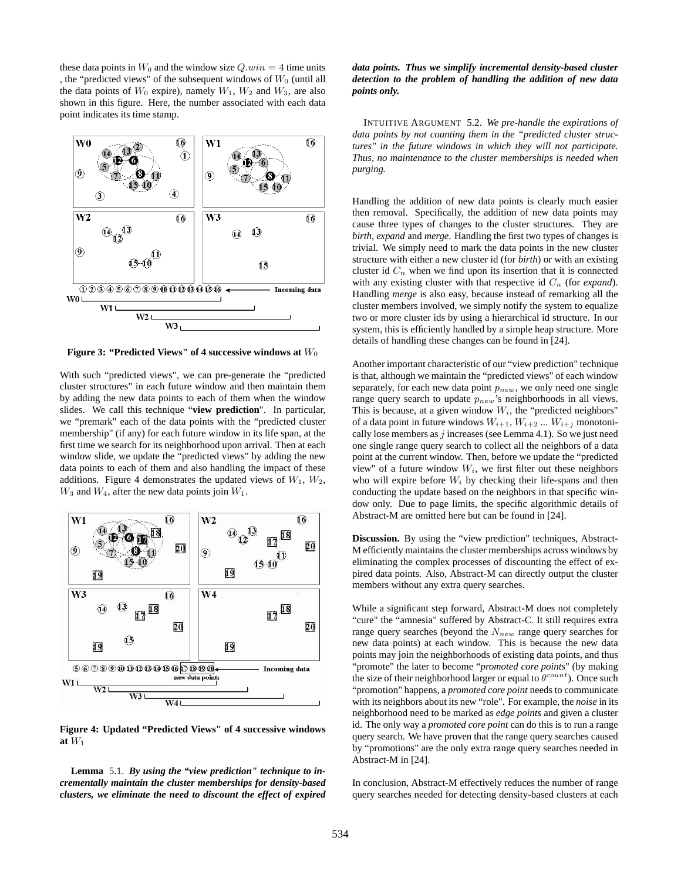these data points in  $W_0$  and the window size  $Q.win = 4$  time units , the "predicted views" of the subsequent windows of  $W_0$  (until all the data points of  $W_0$  expire), namely  $W_1$ ,  $W_2$  and  $W_3$ , are also shown in this figure. Here, the number associated with each data point indicates its time stamp.



**Figure 3: "Predicted Views" of 4 successive windows at**  $W_0$ 

With such "predicted views", we can pre-generate the "predicted cluster structures" in each future window and then maintain them by adding the new data points to each of them when the window slides. We call this technique "**view prediction**". In particular, we "premark" each of the data points with the "predicted cluster membership" (if any) for each future window in its life span, at the first time we search for its neighborhood upon arrival. Then at each window slide, we update the "predicted views" by adding the new data points to each of them and also handling the impact of these additions. Figure 4 demonstrates the updated views of  $W_1$ ,  $W_2$ ,  $W_3$  and  $W_4$ , after the new data points join  $W_1$ .



**Figure 4: Updated "Predicted Views" of 4 successive windows at** W<sup>1</sup>

**Lemma** 5.1. *By using the "view prediction" technique to incrementally maintain the cluster memberships for density-based clusters, we eliminate the need to discount the effect of expired*

### *data points. Thus we simplify incremental density-based cluster detection to the problem of handling the addition of new data points only.*

INTUITIVE ARGUMENT 5.2. *We pre-handle the expirations of data points by not counting them in the "predicted cluster structures" in the future windows in which they will not participate. Thus, no maintenance to the cluster memberships is needed when purging.*

Handling the addition of new data points is clearly much easier then removal. Specifically, the addition of new data points may cause three types of changes to the cluster structures. They are *birth*, *expand* and *merge*. Handling the first two types of changes is trivial. We simply need to mark the data points in the new cluster structure with either a new cluster id (for *birth*) or with an existing cluster id  $C_n$  when we find upon its insertion that it is connected with any existing cluster with that respective id  $C_n$  (for *expand*). Handling *merge* is also easy, because instead of remarking all the cluster members involved, we simply notify the system to equalize two or more cluster ids by using a hierarchical id structure. In our system, this is efficiently handled by a simple heap structure. More details of handling these changes can be found in [24].

Another important characteristic of our "view prediction" technique is that, although we maintain the "predicted views" of each window separately, for each new data point  $p_{new}$ , we only need one single range query search to update  $p_{new}$ 's neighborhoods in all views. This is because, at a given window  $W_i$ , the "predicted neighbors" of a data point in future windows  $W_{i+1}$ ,  $W_{i+2}$  ...  $W_{i+j}$  monotonically lose members as  $j$  increases (see Lemma 4.1). So we just need one single range query search to collect all the neighbors of a data point at the current window. Then, before we update the "predicted view" of a future window  $W_i$ , we first filter out these neighbors who will expire before  $W_i$  by checking their life-spans and then conducting the update based on the neighbors in that specific window only. Due to page limits, the specific algorithmic details of Abstract-M are omitted here but can be found in [24].

**Discussion.** By using the "view prediction" techniques, Abstract-M efficiently maintains the cluster memberships across windows by eliminating the complex processes of discounting the effect of expired data points. Also, Abstract-M can directly output the cluster members without any extra query searches.

While a significant step forward, Abstract-M does not completely "cure" the "amnesia" suffered by Abstract-C. It still requires extra range query searches (beyond the  $N_{new}$  range query searches for new data points) at each window. This is because the new data points may join the neighborhoods of existing data points, and thus "promote" the later to become "*promoted core points*" (by making the size of their neighborhood larger or equal to  $\theta^{count}$ ). Once such "promotion" happens, a *promoted core point* needs to communicate with its neighbors about its new "role". For example, the *noise* in its neighborhood need to be marked as *edge points* and given a cluster id. The only way a *promoted core point* can do this is to run a range query search. We have proven that the range query searches caused by "promotions" are the only extra range query searches needed in Abstract-M in [24].

In conclusion, Abstract-M effectively reduces the number of range query searches needed for detecting density-based clusters at each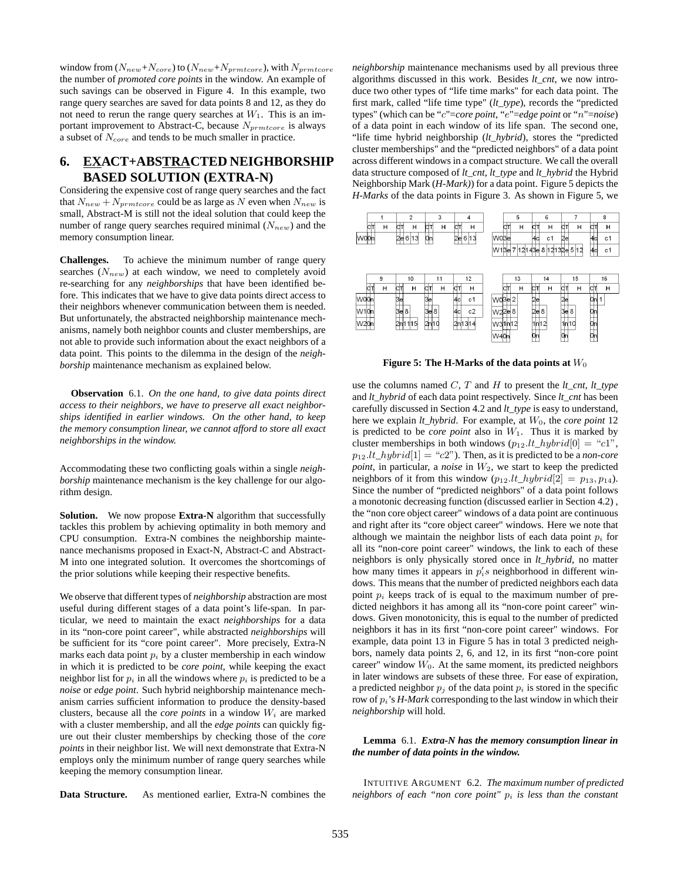window from  $(N_{new}+N_{core})$  to  $(N_{new}+N_{prmtcore})$ , with  $N_{prmtcore}$ the number of *promoted core points* in the window. An example of such savings can be observed in Figure 4. In this example, two range query searches are saved for data points 8 and 12, as they do not need to rerun the range query searches at  $W_1$ . This is an important improvement to Abstract-C, because  $N_{prmtcore}$  is always a subset of  $N_{core}$  and tends to be much smaller in practice.

# **6. EXACT+ABSTRACTED NEIGHBORSHIP BASED SOLUTION (EXTRA-N)**

Considering the expensive cost of range query searches and the fact that  $N_{new} + N_{prmtcore}$  could be as large as N even when  $N_{new}$  is small, Abstract-M is still not the ideal solution that could keep the number of range query searches required minimal  $(N_{new})$  and the memory consumption linear.

**Challenges.** To achieve the minimum number of range query searches  $(N_{new})$  at each window, we need to completely avoid re-searching for any *neighborships* that have been identified before. This indicates that we have to give data points direct access to their neighbors whenever communication between them is needed. But unfortunately, the abstracted neighborship maintenance mechanisms, namely both neighbor counts and cluster memberships, are not able to provide such information about the exact neighbors of a data point. This points to the dilemma in the design of the *neighborship* maintenance mechanism as explained below.

**Observation** 6.1. *On the one hand, to give data points direct access to their neighbors, we have to preserve all exact neighborships identified in earlier windows. On the other hand, to keep the memory consumption linear, we cannot afford to store all exact neighborships in the window.*

Accommodating these two conflicting goals within a single *neighborship* maintenance mechanism is the key challenge for our algorithm design.

**Solution.** We now propose **Extra-N** algorithm that successfully tackles this problem by achieving optimality in both memory and CPU consumption. Extra-N combines the neighborship maintenance mechanisms proposed in Exact-N, Abstract-C and Abstract-M into one integrated solution. It overcomes the shortcomings of the prior solutions while keeping their respective benefits.

We observe that different types of *neighborship* abstraction are most useful during different stages of a data point's life-span. In particular, we need to maintain the exact *neighborships* for a data in its "non-core point career", while abstracted *neighborships* will be sufficient for its "core point career". More precisely, Extra-N marks each data point  $p_i$  by a cluster membership in each window in which it is predicted to be *core point*, while keeping the exact neighbor list for  $p_i$  in all the windows where  $p_i$  is predicted to be a *noise* or *edge point*. Such hybrid neighborship maintenance mechanism carries sufficient information to produce the density-based clusters, because all the *core points* in a window  $W_i$  are marked with a cluster membership, and all the *edge points* can quickly figure out their cluster memberships by checking those of the *core points* in their neighbor list. We will next demonstrate that Extra-N employs only the minimum number of range query searches while keeping the memory consumption linear.

**Data Structure.** As mentioned earlier, Extra-N combines the

*neighborship* maintenance mechanisms used by all previous three algorithms discussed in this work. Besides *lt\_cnt*, we now introduce two other types of "life time marks" for each data point. The first mark, called "life time type" (*lt\_type*), records the "predicted types" (which can be "c"=*core point*, "e"=*edge point* or "n"=*noise*) of a data point in each window of its life span. The second one, "life time hybrid neighborship (*lt\_hybrid*), stores the "predicted cluster memberships" and the "predicted neighbors" of a data point across different windows in a compact structure. We call the overall data structure composed of *lt\_cnt*, *lt\_type* and *lt\_hybrid* the Hybrid Neighborship Mark (*H-Mark)*) for a data point. Figure 5 depicts the *H-Marks* of the data points in Figure 3. As shown in Figure 5, we



#### **Figure 5: The H-Marks of the data points at**  $W_0$

use the columns named C, T and H to present the *lt\_cnt*, *lt\_type* and *lt\_hybrid* of each data point respectively. Since *lt\_cnt* has been carefully discussed in Section 4.2 and *lt\_type* is easy to understand, here we explain  $lt\_hybrid$ . For example, at  $W_0$ , the *core point* 12 is predicted to be *core point* also in  $W_1$ . Thus it is marked by cluster memberships in both windows  $(p_{12}.lt\_hybrid|0] = "c1",$  $p_{12}.lt\_hybrid[1] = "c2"$ ). Then, as it is predicted to be a *non-core point*, in particular, a *noise* in  $W_2$ , we start to keep the predicted neighbors of it from this window  $(p_{12}.lt\_hybrid[2] = p_{13}, p_{14})$ . Since the number of "predicted neighbors" of a data point follows a monotonic decreasing function (discussed earlier in Section 4.2) , the "non core object career" windows of a data point are continuous and right after its "core object career" windows. Here we note that although we maintain the neighbor lists of each data point  $p_i$  for all its "non-core point career" windows, the link to each of these neighbors is only physically stored once in *lt\_hybrid*, no matter how many times it appears in  $p_i$ 's neighborhood in different windows. This means that the number of predicted neighbors each data point  $p_i$  keeps track of is equal to the maximum number of predicted neighbors it has among all its "non-core point career" windows. Given monotonicity, this is equal to the number of predicted neighbors it has in its first "non-core point career" windows. For example, data point 13 in Figure 5 has in total 3 predicted neighbors, namely data points 2, 6, and 12, in its first "non-core point career" window  $W_0$ . At the same moment, its predicted neighbors in later windows are subsets of these three. For ease of expiration, a predicted neighbor  $p_i$  of the data point  $p_i$  is stored in the specific row of  $p_i$ 's *H-Mark* corresponding to the last window in which their *neighborship* will hold.

### **Lemma** 6.1. *Extra-N has the memory consumption linear in the number of data points in the window.*

INTUITIVE ARGUMENT 6.2. *The maximum number of predicted neighbors of each "non core point"*  $p_i$  *is less than the constant*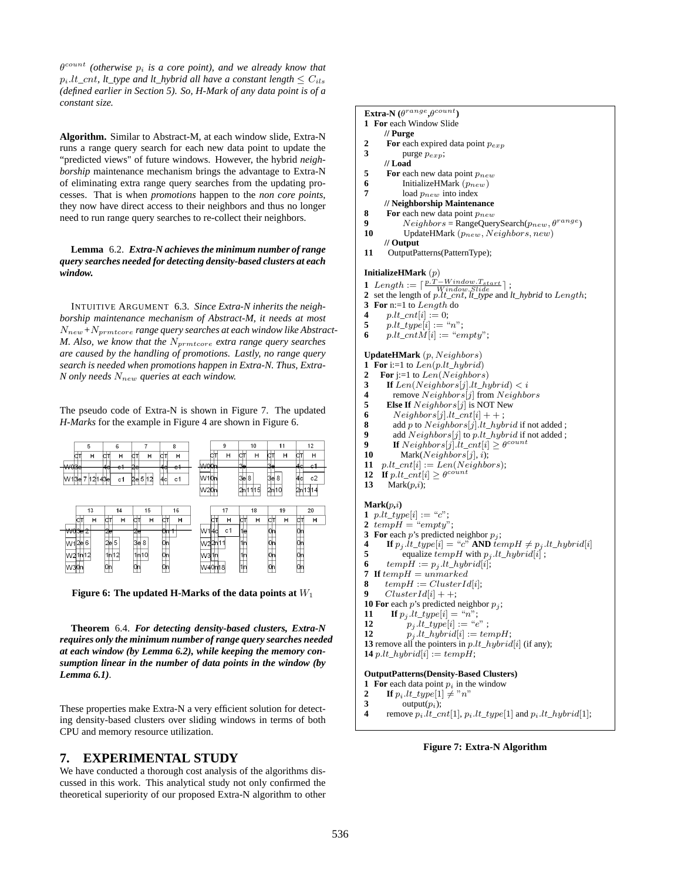$\theta^{count}$  (otherwise  $p_i$  is a core point), and we already know that  $p_i$ *.lt\_cnt, lt\_type and lt\_hybrid all have a constant length*  $\leq C_{ils}$ *(defined earlier in Section 5). So, H-Mark of any data point is of a constant size.*

**Algorithm.** Similar to Abstract-M, at each window slide, Extra-N runs a range query search for each new data point to update the "predicted views" of future windows. However, the hybrid *neighborship* maintenance mechanism brings the advantage to Extra-N of eliminating extra range query searches from the updating processes. That is when *promotions* happen to the *non core points*, they now have direct access to their neighbors and thus no longer need to run range query searches to re-collect their neighbors.

### **Lemma** 6.2. *Extra-N achieves the minimum number of range query searches needed for detecting density-based clusters at each window.*

INTUITIVE ARGUMENT 6.3. *Since Extra-N inherits the neighborship maintenance mechanism of Abstract-M, it needs at most* Nnew*+*Nprmtcore *range query searches at each window like Abstract-M. Also, we know that the*  $N_{prmtcore}$  *extra range query searches are caused by the handling of promotions. Lastly, no range query search is needed when promotions happen in Extra-N. Thus, Extra-N only needs* Nnew *queries at each window.*

The pseudo code of Extra-N is shown in Figure 7. The updated *H-Marks* for the example in Figure 4 are shown in Figure 6.

| 5               | 6                     | 7                 | 8        |             | 9                     | 10                   | 11               | 12                         |
|-----------------|-----------------------|-------------------|----------|-------------|-----------------------|----------------------|------------------|----------------------------|
| н               | н<br>απ               | н<br>ΩТ           | н        |             | н                     | н<br>αт              | н<br>αт          | н<br>ď٦                    |
| woble           | e<br>w                | n<br>₩            | e4<br>ᄫ  | M/OOn       |                       | طه                   | ⊿ا2ا             | ച്⊿<br>$\sim$ <sup>1</sup> |
| W13e 7  12143e  | c <sub>1</sub>        | 5<br>12<br>Ζe     | c1<br>4c | W10n<br>W20 |                       | 3e<br>8<br>115<br>2h | 3e 8<br>2n1<br>n | c2<br>4<br>c<br>1314<br>2n |
| 13              | 14                    | 15                | 16       |             | 17                    | 18                   | 19               | 20                         |
| н               | н<br>а                | н<br>с            | н<br>απ  |             | н                     | н<br>с               | н                | н                          |
| احادب<br>wuxa z | احا<br>ızε            | $\sim$<br>∠ट      | ∼<br>णा  | W1          | c <sub>1</sub><br>l4c | 1e                   |                  |                            |
| 6<br>W1<br>l2e  | l2e<br>5              | 3el<br>8          | ٦        | W2          | 12n 1                 | 1h                   |                  |                            |
| 1h12<br>W2      | $\overline{a}$<br>1hl | 1 <sub>n</sub> 10 | DI       | W31         |                       | 1h                   |                  |                            |
|                 |                       | J<br>n            | П'n      | W40nh 8     |                       | 1h                   |                  |                            |

**Figure 6: The updated H-Marks of the data points at** W<sup>1</sup>

**Theorem** 6.4. *For detecting density-based clusters, Extra-N requires only the minimum number of range query searches needed at each window (by Lemma 6.2), while keeping the memory consumption linear in the number of data points in the window (by Lemma 6.1).*

These properties make Extra-N a very efficient solution for detecting density-based clusters over sliding windows in terms of both CPU and memory resource utilization.

# **7. EXPERIMENTAL STUDY**

We have conducted a thorough cost analysis of the algorithms discussed in this work. This analytical study not only confirmed the theoretical superiority of our proposed Extra-N algorithm to other

```
\textbf{Extra-N} (\theta^{range},\theta^{count})
1 For each Window Slide
       // Purge
2 For each expired data point p_{exp}<br>3
             3 purge pexp;
       // Load
5 For each new data point p_{new}6 InitializeHMark (p_{new})<br>7 load p_{new} into index
              load p_{new} into index
       // Neighborship Maintenance
8 For each new data point p_{new}<br>9 Neighbors = RangeOuer
9 Neighbors = RangeQuerySearch(p_{new}, \theta^{range})<br>10 UpdateHMark (p_{new}, Neighbors, new)
              10 UpdateHMark (pnew, Neighbors, new)
       // Output
11 OutputPatterns(PatternType);
InitializeHMark (p)
1 Length := \lceil \frac{p.T-Window.T_{start}}{Window.Sides} \rceil1 Length := \lceil \frac{p \cdot T - Window \cdot T_{start}}{W_{indow}} \rceil;<br>
2 set the length of p \cdot lt\_cnt, lt\_try and lt\_hybrid to Length;
3 For n:=1 to Length do
4 p.lt\_cnt[i] := 0;5 p.lt\_type[i] := "n";<br>6 p.lt\_cntM[i] := "en"p.lt\_cntM[i] := "empty";UpdateHMark (p, Neighbors)
1 For i:=1 to Len(p.lt\_hybrid)<br>2 For i:=1 to Len(Neiabors)2 For j:=1 to Len(Neighbors)<br>3 If Len(Neighbors[i] It his
        If Len(Neighbors[j].lt_hybrid) \lt i4 remove Neighbors[j] from Neighbors<br>5 Else If Neighbors[j] is NOT New
        Else If Neighbors[j] is NOT New
6 Neighbors[j].lt\_cnt[i] + +;8 add p to Neighbors[j].lt\_hybrid if not added;
9 add Neighbors[j] to p.lt_hybrid if not added ;<br>9 If Neighbors[i] It cnt[i] > \theta^{count}9 If Neighbors[j].it\_cnt[i] \geq \theta^{count}10 Mark(Neighbors[j], i);<br>11 p.lt cnt[i] := Len(Neighbors]
11 p.lt\_cnt[i] := \text{Len}(\text{Neighbors});<br>12 If p.lt\_cnt[i] > \theta^{count}12 If p.lt\_cnt[i] \geq \theta^{count}13 Mark(p,i);
Mark(p,i)
1 p.lt\_type[i] := "c";2 tempH = "empty";3 For each p's predicted neighbor p_i;
4 If p_j \cdot \hat{l}t\_type[i] = "c" AND tempH \neq p_j \cdot lt\_hybrid[i]<br>
5 equalize tempH with p_i \cdot lt by by rid(i)
5 equalize tempH with p_j .lt_hybrid[i];<br>6 tempH := p_i .lt_hybrid[i]:
        tempH := p_i \lt lthybrid[i];7 If tempH = unmarked
8 tempH := ClusterId[i];<br>9 ClusterId[i] + +ClusterId[i] + +;10 For each p's predicted neighbor p_j;<br>11 If p_j.lt true[i] = "n":
11 If p_j lt\_type[i] = "n";<br>12 p_i lt\_type[i] := "e^i12 p_j \, lt\_type[i] := "e" ;<br>12 p_i \, lt\_hubrid[i] := ter\overline{p}_i .lt_hybrid[i] := tempH;
13 remove all the pointers in p.lt\_hybrid[i] (if any);
14 p.lt\_hybrid[i] := tempH;OutputPatterns(Density-Based Clusters)
1 For each data point p_i in the window<br>2 If p_i lt type[1] \neq "n"2 If p_i.lt\_type[1] \neq "n"<br>3 output(p_i):
3 output(p_i);<br>4 remove n: It can
        remove p_i.lt_cnt[1], p_i.lt_type[1] and p_i.lt_hybrid[1];
```
### **Figure 7: Extra-N Algorithm**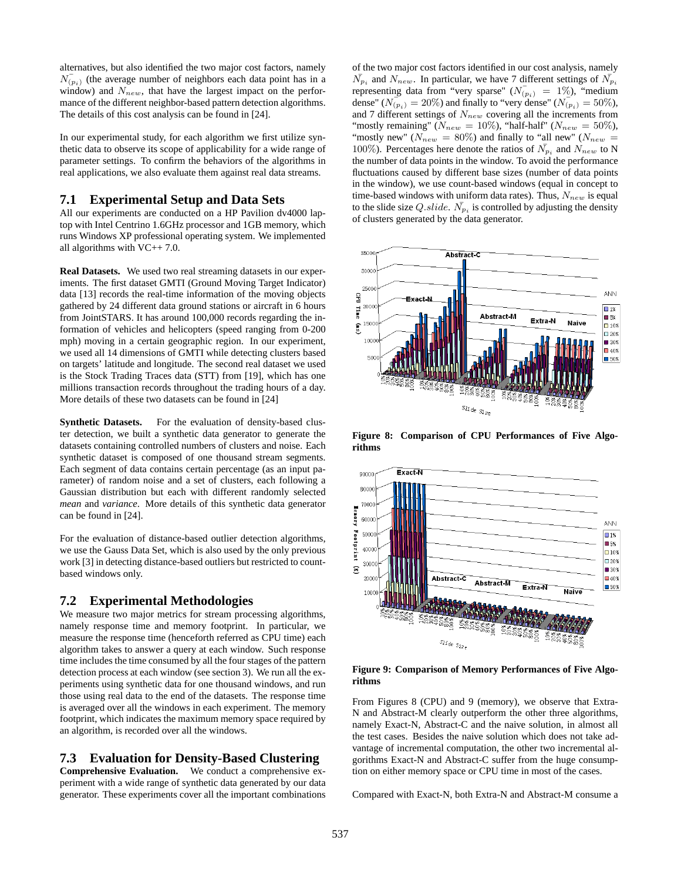alternatives, but also identified the two major cost factors, namely  $\overline{N}_{(p_i)}$  (the average number of neighbors each data point has in a window) and  $N_{new}$ , that have the largest impact on the performance of the different neighbor-based pattern detection algorithms. The details of this cost analysis can be found in [24].

In our experimental study, for each algorithm we first utilize synthetic data to observe its scope of applicability for a wide range of parameter settings. To confirm the behaviors of the algorithms in real applications, we also evaluate them against real data streams.

### **7.1 Experimental Setup and Data Sets**

All our experiments are conducted on a HP Pavilion dv4000 laptop with Intel Centrino 1.6GHz processor and 1GB memory, which runs Windows XP professional operating system. We implemented all algorithms with VC++ 7.0.

**Real Datasets.** We used two real streaming datasets in our experiments. The first dataset GMTI (Ground Moving Target Indicator) data [13] records the real-time information of the moving objects gathered by 24 different data ground stations or aircraft in 6 hours from JointSTARS. It has around 100,000 records regarding the information of vehicles and helicopters (speed ranging from 0-200 mph) moving in a certain geographic region. In our experiment, we used all 14 dimensions of GMTI while detecting clusters based on targets' latitude and longitude. The second real dataset we used is the Stock Trading Traces data (STT) from [19], which has one millions transaction records throughout the trading hours of a day. More details of these two datasets can be found in [24]

Synthetic Datasets. For the evaluation of density-based cluster detection, we built a synthetic data generator to generate the datasets containing controlled numbers of clusters and noise. Each synthetic dataset is composed of one thousand stream segments. Each segment of data contains certain percentage (as an input parameter) of random noise and a set of clusters, each following a Gaussian distribution but each with different randomly selected *mean* and *variance*. More details of this synthetic data generator can be found in [24].

For the evaluation of distance-based outlier detection algorithms, we use the Gauss Data Set, which is also used by the only previous work [3] in detecting distance-based outliers but restricted to countbased windows only.

### **7.2 Experimental Methodologies**

We measure two major metrics for stream processing algorithms, namely response time and memory footprint. In particular, we measure the response time (henceforth referred as CPU time) each algorithm takes to answer a query at each window. Such response time includes the time consumed by all the four stages of the pattern detection process at each window (see section 3). We run all the experiments using synthetic data for one thousand windows, and run those using real data to the end of the datasets. The response time is averaged over all the windows in each experiment. The memory footprint, which indicates the maximum memory space required by an algorithm, is recorded over all the windows.

# **7.3 Evaluation for Density-Based Clustering**

**Comprehensive Evaluation.** We conduct a comprehensive experiment with a wide range of synthetic data generated by our data generator. These experiments cover all the important combinations

of the two major cost factors identified in our cost analysis, namely  $\bar{N_{p_i}}$  and  $N_{new}$ . In particular, we have 7 different settings of  $\bar{N_{p_i}}$ representing data from "very sparse"  $(N_{(pi)}^{-}) = 1\%)$ , "medium dense" ( $\widetilde{N_{(p_i)}} = 20\%$ ) and finally to "very dense" ( $\widetilde{N_{(p_i)}} = 50\%$ ), and 7 different settings of  $N_{new}$  covering all the increments from "mostly remaining" ( $N_{new} = 10\%$ ), "half-half" ( $N_{new} = 50\%$ ), "mostly new" ( $N_{new} = 80\%$ ) and finally to "all new" ( $N_{new} =$ 100%). Percentages here denote the ratios of  $\bar{N_{p_i}}$  and  $N_{new}$  to N the number of data points in the window. To avoid the performance fluctuations caused by different base sizes (number of data points in the window), we use count-based windows (equal in concept to time-based windows with uniform data rates). Thus,  $N_{new}$  is equal to the slide size Q.slide.  $\bar{N_{p_i}}$  is controlled by adjusting the density of clusters generated by the data generator.



**Figure 8: Comparison of CPU Performances of Five Algorithms**



**Figure 9: Comparison of Memory Performances of Five Algorithms**

From Figures 8 (CPU) and 9 (memory), we observe that Extra-N and Abstract-M clearly outperform the other three algorithms, namely Exact-N, Abstract-C and the naive solution, in almost all the test cases. Besides the naive solution which does not take advantage of incremental computation, the other two incremental algorithms Exact-N and Abstract-C suffer from the huge consumption on either memory space or CPU time in most of the cases.

Compared with Exact-N, both Extra-N and Abstract-M consume a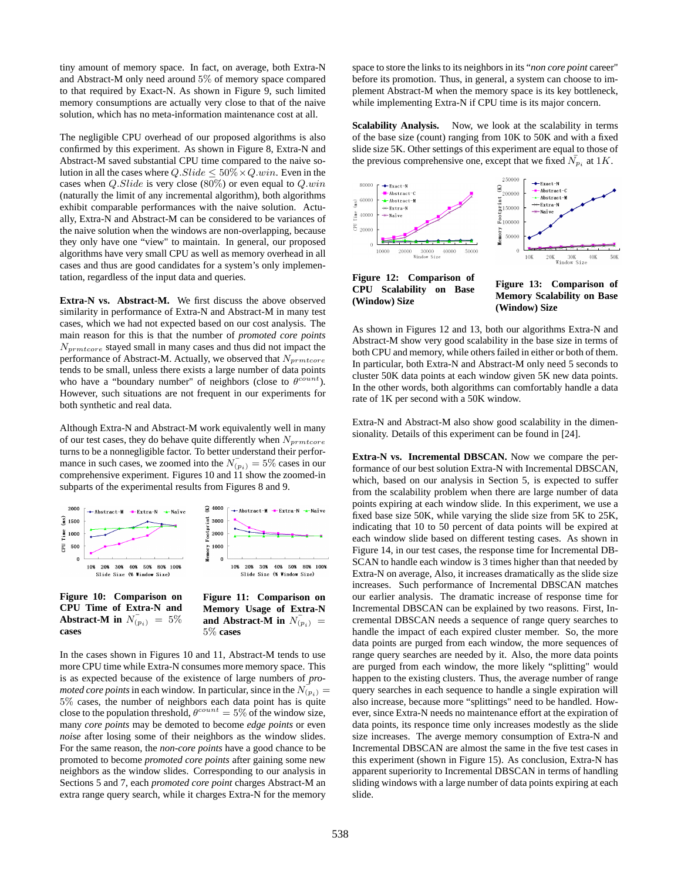tiny amount of memory space. In fact, on average, both Extra-N and Abstract-M only need around 5% of memory space compared to that required by Exact-N. As shown in Figure 9, such limited memory consumptions are actually very close to that of the naive solution, which has no meta-information maintenance cost at all.

The negligible CPU overhead of our proposed algorithms is also confirmed by this experiment. As shown in Figure 8, Extra-N and Abstract-M saved substantial CPU time compared to the naive solution in all the cases where  $Q.Slide \leq 50\% \times Q.win$ . Even in the cases when  $Q.Slide$  is very close (80%) or even equal to  $Q.win$ (naturally the limit of any incremental algorithm), both algorithms exhibit comparable performances with the naive solution. Actually, Extra-N and Abstract-M can be considered to be variances of the naive solution when the windows are non-overlapping, because they only have one "view" to maintain. In general, our proposed algorithms have very small CPU as well as memory overhead in all cases and thus are good candidates for a system's only implementation, regardless of the input data and queries.

**Extra-N vs. Abstract-M.** We first discuss the above observed similarity in performance of Extra-N and Abstract-M in many test cases, which we had not expected based on our cost analysis. The main reason for this is that the number of *promoted core points*  $N_{prmtcore}$  stayed small in many cases and thus did not impact the performance of Abstract-M. Actually, we observed that  $N_{prmtcore}$ tends to be small, unless there exists a large number of data points who have a "boundary number" of neighbors (close to  $\theta^{count}$ ). However, such situations are not frequent in our experiments for both synthetic and real data.

Although Extra-N and Abstract-M work equivalently well in many of our test cases, they do behave quite differently when  $N_{prmtcore}$ turns to be a nonnegligible factor. To better understand their performance in such cases, we zoomed into the  $N_{(p_i)}^{\dagger} = 5\%$  cases in our comprehensive experiment. Figures 10 and 11 show the zoomed-in subparts of the experimental results from Figures 8 and 9.



In the cases shown in Figures 10 and 11, Abstract-M tends to use more CPU time while Extra-N consumes more memory space. This is as expected because of the existence of large numbers of *promoted core points* in each window. In particular, since in the  $N_{(p_i)}^2 =$ 5% cases, the number of neighbors each data point has is quite close to the population threshold,  $\theta^{count} = 5\%$  of the window size, many *core points* may be demoted to become *edge points* or even *noise* after losing some of their neighbors as the window slides. For the same reason, the *non-core points* have a good chance to be promoted to become *promoted core points* after gaining some new neighbors as the window slides. Corresponding to our analysis in Sections 5 and 7, each *promoted core point* charges Abstract-M an extra range query search, while it charges Extra-N for the memory

space to store the links to its neighbors in its "*non core point* career" before its promotion. Thus, in general, a system can choose to implement Abstract-M when the memory space is its key bottleneck, while implementing Extra-N if CPU time is its major concern.

**Scalability Analysis.** Now, we look at the scalability in terms of the base size (count) ranging from 10K to 50K and with a fixed slide size 5K. Other settings of this experiment are equal to those of the previous comprehensive one, except that we fixed  $\bar{N_{p_i}}$  at 1K.



**CPU Scalability on Base (Window) Size**

**Figure 13: Comparison of Memory Scalability on Base (Window) Size**

As shown in Figures 12 and 13, both our algorithms Extra-N and Abstract-M show very good scalability in the base size in terms of both CPU and memory, while others failed in either or both of them. In particular, both Extra-N and Abstract-M only need 5 seconds to cluster 50K data points at each window given 5K new data points. In the other words, both algorithms can comfortably handle a data rate of 1K per second with a 50K window.

Extra-N and Abstract-M also show good scalability in the dimensionality. Details of this experiment can be found in [24].

**Extra-N vs. Incremental DBSCAN.** Now we compare the performance of our best solution Extra-N with Incremental DBSCAN, which, based on our analysis in Section 5, is expected to suffer from the scalability problem when there are large number of data points expiring at each window slide. In this experiment, we use a fixed base size 50K, while varying the slide size from 5K to 25K, indicating that 10 to 50 percent of data points will be expired at each window slide based on different testing cases. As shown in Figure 14, in our test cases, the response time for Incremental DB-SCAN to handle each window is 3 times higher than that needed by Extra-N on average, Also, it increases dramatically as the slide size increases. Such performance of Incremental DBSCAN matches our earlier analysis. The dramatic increase of response time for Incremental DBSCAN can be explained by two reasons. First, Incremental DBSCAN needs a sequence of range query searches to handle the impact of each expired cluster member. So, the more data points are purged from each window, the more sequences of range query searches are needed by it. Also, the more data points are purged from each window, the more likely "splitting" would happen to the existing clusters. Thus, the average number of range query searches in each sequence to handle a single expiration will also increase, because more "splittings" need to be handled. However, since Extra-N needs no maintenance effort at the expiration of data points, its responce time only increases modestly as the slide size increases. The averge memory consumption of Extra-N and Incremental DBSCAN are almost the same in the five test cases in this experiment (shown in Figure 15). As conclusion, Extra-N has apparent superiority to Incremental DBSCAN in terms of handling sliding windows with a large number of data points expiring at each slide.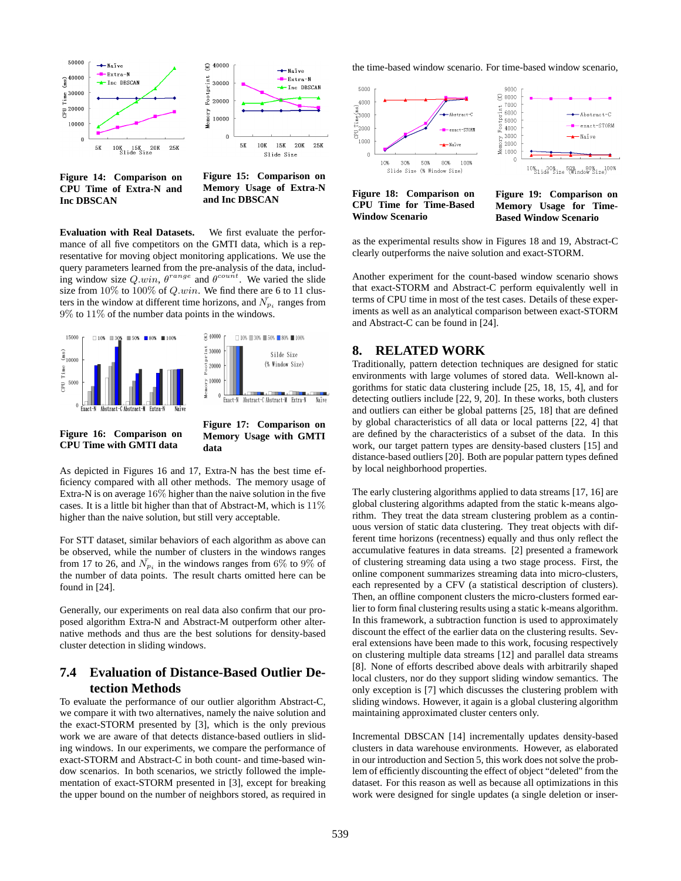

**CPU Time of Extra-N and Inc DBSCAN**

**Memory Usage of Extra-N and Inc DBSCAN**

**Evaluation with Real Datasets.** We first evaluate the performance of all five competitors on the GMTI data, which is a representative for moving object monitoring applications. We use the query parameters learned from the pre-analysis of the data, including window size  $Q.win$ ,  $\theta^{range}$  and  $\theta^{count}$ . We varied the slide size from  $10\%$  to  $100\%$  of Q.win. We find there are 6 to 11 clusters in the window at different time horizons, and  $\bar{N_{p_i}}$  ranges from 9% to 11% of the number data points in the windows.



**Figure 16: Comparison on CPU Time with GMTI data**

**Figure 17: Comparison on Memory Usage with GMTI data**

As depicted in Figures 16 and 17, Extra-N has the best time efficiency compared with all other methods. The memory usage of Extra-N is on average 16% higher than the naive solution in the five cases. It is a little bit higher than that of Abstract-M, which is 11% higher than the naive solution, but still very acceptable.

For STT dataset, similar behaviors of each algorithm as above can be observed, while the number of clusters in the windows ranges from 17 to 26, and  $\bar{N_{p_i}}$  in the windows ranges from 6% to 9% of the number of data points. The result charts omitted here can be found in [24].

Generally, our experiments on real data also confirm that our proposed algorithm Extra-N and Abstract-M outperform other alternative methods and thus are the best solutions for density-based cluster detection in sliding windows.

# **7.4 Evaluation of Distance-Based Outlier Detection Methods**

To evaluate the performance of our outlier algorithm Abstract-C, we compare it with two alternatives, namely the naive solution and the exact-STORM presented by [3], which is the only previous work we are aware of that detects distance-based outliers in sliding windows. In our experiments, we compare the performance of exact-STORM and Abstract-C in both count- and time-based window scenarios. In both scenarios, we strictly followed the implementation of exact-STORM presented in [3], except for breaking the upper bound on the number of neighbors stored, as required in the time-based window scenario. For time-based window scenario,



**CPU Time for Time-Based Window Scenario**

**Memory Usage for Time-Based Window Scenario**

as the experimental results show in Figures 18 and 19, Abstract-C clearly outperforms the naive solution and exact-STORM.

Another experiment for the count-based window scenario shows that exact-STORM and Abstract-C perform equivalently well in terms of CPU time in most of the test cases. Details of these experiments as well as an analytical comparison between exact-STORM and Abstract-C can be found in [24].

## **8. RELATED WORK**

Traditionally, pattern detection techniques are designed for static environments with large volumes of stored data. Well-known algorithms for static data clustering include [25, 18, 15, 4], and for detecting outliers include [22, 9, 20]. In these works, both clusters and outliers can either be global patterns [25, 18] that are defined by global characteristics of all data or local patterns [22, 4] that are defined by the characteristics of a subset of the data. In this work, our target pattern types are density-based clusters [15] and distance-based outliers [20]. Both are popular pattern types defined by local neighborhood properties.

The early clustering algorithms applied to data streams [17, 16] are global clustering algorithms adapted from the static k-means algorithm. They treat the data stream clustering problem as a continuous version of static data clustering. They treat objects with different time horizons (recentness) equally and thus only reflect the accumulative features in data streams. [2] presented a framework of clustering streaming data using a two stage process. First, the online component summarizes streaming data into micro-clusters, each represented by a CFV (a statistical description of clusters). Then, an offline component clusters the micro-clusters formed earlier to form final clustering results using a static k-means algorithm. In this framework, a subtraction function is used to approximately discount the effect of the earlier data on the clustering results. Several extensions have been made to this work, focusing respectively on clustering multiple data streams [12] and parallel data streams [8]. None of efforts described above deals with arbitrarily shaped local clusters, nor do they support sliding window semantics. The only exception is [7] which discusses the clustering problem with sliding windows. However, it again is a global clustering algorithm maintaining approximated cluster centers only.

Incremental DBSCAN [14] incrementally updates density-based clusters in data warehouse environments. However, as elaborated in our introduction and Section 5, this work does not solve the problem of efficiently discounting the effect of object "deleted" from the dataset. For this reason as well as because all optimizations in this work were designed for single updates (a single deletion or inser